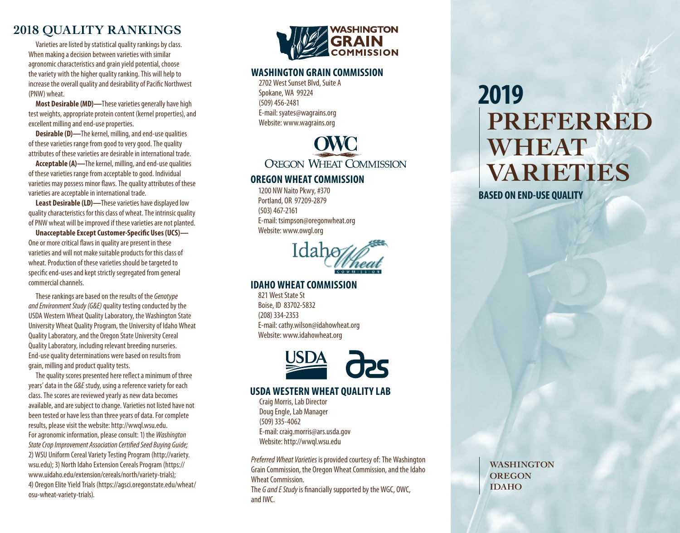## **2018 Quality Rankings**

Varieties are listed by statistical quality rankings by class. When making a decision between varieties with similar agronomic characteristics and grain yield potential, choose the variety with the higher quality ranking. This will help to increase the overall quality and desirability of Pacific Northwest (PNW) wheat.

**Most Desirable (MD)—**These varieties generally have high test weights, appropriate protein content (kernel properties), and excellent milling and end-use properties.

**Desirable (D)—**The kernel, milling, and end-use qualities of these varieties range from good to very good. The quality attributes of these varieties are desirable in international trade.

**Acceptable (A)—**The kernel, milling, and end-use qualities of these varieties range from acceptable to good. Individual varieties may possess minor flaws. The quality attributes of these varieties are acceptable in international trade.

**Least Desirable (LD)—**These varieties have displayed low quality characteristics for this class of wheat. The intrinsic quality of PNW wheat will be improved if these varieties are not planted.

**Unacceptable Except Customer-Specific Uses (UCS)—** One or more critical flaws in quality are present in these varieties and will not make suitable products for this class of wheat. Production of these varieties should be targeted to specific end-uses and kept strictly segregated from general commercial channels.

These rankings are based on the results of the *Genotype and Environment Study (G&E)* quality testing conducted by the USDA Western Wheat Quality Laboratory, the Washington State University Wheat Quality Program, the University of Idaho Wheat Quality Laboratory, and the Oregon State University Cereal Quality Laboratory, including relevant breeding nurseries. End-use quality determinations were based on results from grain, milling and product quality tests.

The quality scores presented here reflect a minimum of three years' data in the *G&E* study, using a reference variety for each class. The scores are reviewed yearly as new data becomes available, and are subject to change. Varieties not listed have not been tested or have less than three years of data. For complete results, please visit the website: http://wwql.wsu.edu. For agronomic information, please consult: 1) the *Washington State Crop Improvement Association Certified Seed Buying Guide;*  2) WSU Uniform Cereal Variety Testing Program (http://variety. wsu.edu); 3) North Idaho Extension Cereals Program (https:// www.uidaho.edu/extension/cereals/north/variety-trials); 4) Oregon Elite Yield Trials (https://agsci.oregonstate.edu/wheat/ osu-wheat-variety-trials).



#### **Washington Grain Commission**

2702 West Sunset Blvd, Suite A Spokane, WA 99224 (509) 456-2481 E-mail: syates@wagrains.org Website: www.wagrains.org



#### **Oregon Wheat Commission**

1200 NW Naito Pkwy, #370 Portland, OR 97209-2879 (503) 467-2161 E-mail: tsimpson@oregonwheat.org Website: www.owgl.org



#### **Idaho Wheat Commission**

821 West State St Boise, ID 83702-5832 (208) 334-2353 E-mail: cathy.wilson@idahowheat.org Website: www.idahowheat.org



#### **USDA Western Wheat Quality Lab**

Craig Morris, Lab Director Doug Engle, Lab Manager (509) 335-4062 E-mail: craig.morris@ars.usda.gov Website: http://wwql.wsu.edu

*Preferred Wheat Varieties* is provided courtesy of: The Washington Grain Commission, the Oregon Wheat Commission, and the Idaho Wheat Commission.

The *G and E Study* is financially supported by the WGC, OWC, and IWC.

# **2019 PREFERRED WHEAT VARIETIES**

**BASED ON END-USE QUALITY**

**WASHINGTON OREGON IDAHO**